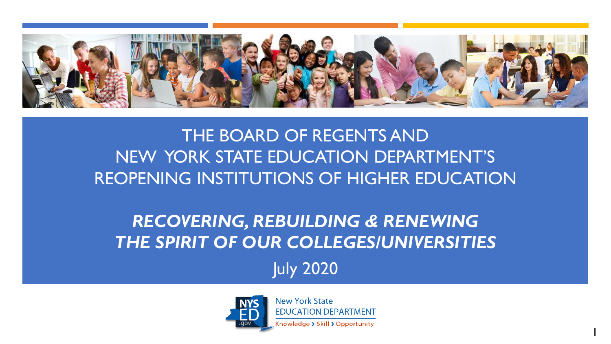

#### THE BOARD OF REGENTS AND NEW YORK STATE EDUCATION DEPARTMENT'S REOPENING INSTITUTIONS OF HIGHER EDUCATION

#### *RECOVERING, REBUILDING & RENEWING THE SPIRIT OF OUR COLLEGES/UNIVERSITIES* July 2020



**New York State** EDUCATION DEPARTMENT Knowledge > Skill > Opportunity

1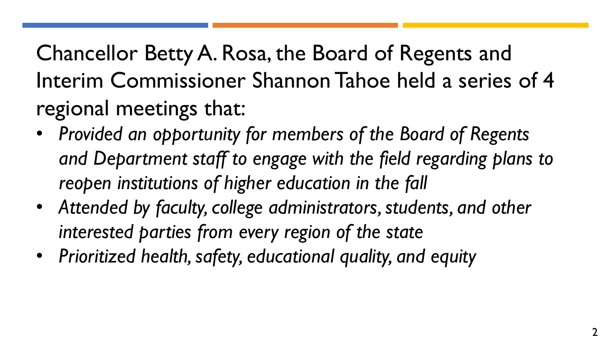Chancellor Betty A. Rosa, the Board of Regents and Interim Commissioner Shannon Tahoe held a series of 4 regional meetings that:

- *Provided an opportunity for members of the Board of Regents and Department staff to engage with the field regarding plans to reopen institutions of higher education in the fall*
- *Attended by faculty, college administrators, students, and other interested parties from every region of the state*
- *Prioritized health, safety, educational quality, and equity*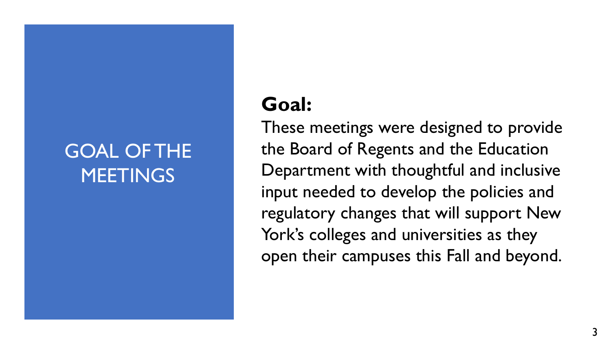#### GOAL OF THE MEETINGS

#### **Goal:**

These meetings were designed to provide the Board of Regents and the Education Department with thoughtful and inclusive input needed to develop the policies and regulatory changes that will support New York's colleges and universities as they open their campuses this Fall and beyond.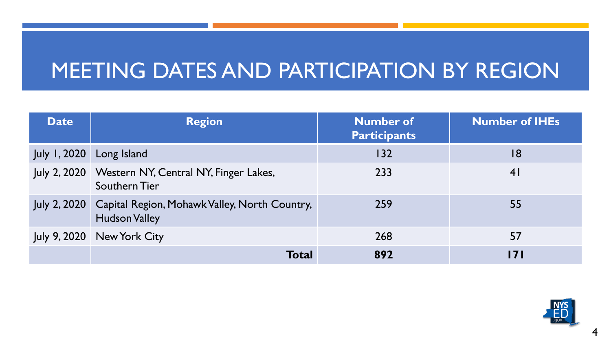### MEETING DATES AND PARTICIPATION BY REGION

| <b>Date</b>  | <b>Region</b>                                                                      | <b>Number of</b><br><b>Participants</b> | <b>Number of IHEs</b> |
|--------------|------------------------------------------------------------------------------------|-----------------------------------------|-----------------------|
| July 1, 2020 | Long Island                                                                        | 132                                     | 18                    |
|              | July 2, 2020 Western NY, Central NY, Finger Lakes,<br>Southern Tier                | 233                                     | 4 <sup>1</sup>        |
|              | July 2, 2020 Capital Region, Mohawk Valley, North Country,<br><b>Hudson Valley</b> | 259                                     | 55                    |
|              | July 9, 2020 New York City                                                         | 268                                     | 57                    |
|              | <b>Total</b>                                                                       | 892                                     | 171                   |

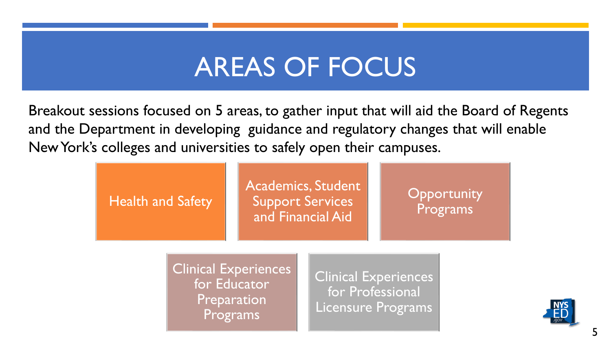### AREAS OF FOCUS

Breakout sessions focused on 5 areas, to gather input that will aid the Board of Regents and the Department in developing guidance and regulatory changes that will enable New York's colleges and universities to safely open their campuses.

| <b>Health and Safety</b> | Academics, Student<br>Support Services<br>and Financial Aid | Opportunity<br>Programs |
|--------------------------|-------------------------------------------------------------|-------------------------|
|--------------------------|-------------------------------------------------------------|-------------------------|

Clinical Experiences for Educator Preparation Programs

Clinical Experiences for Professional Licensure Programs

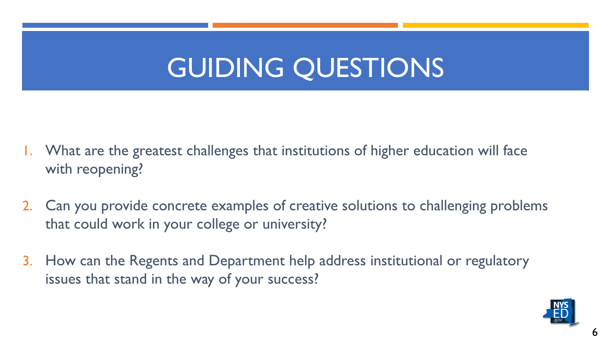## GUIDING QUESTIONS

- 1. What are the greatest challenges that institutions of higher education will face with reopening?
- 2. Can you provide concrete examples of creative solutions to challenging problems that could work in your college or university?
- 3. How can the Regents and Department help address institutional or regulatory issues that stand in the way of your success?

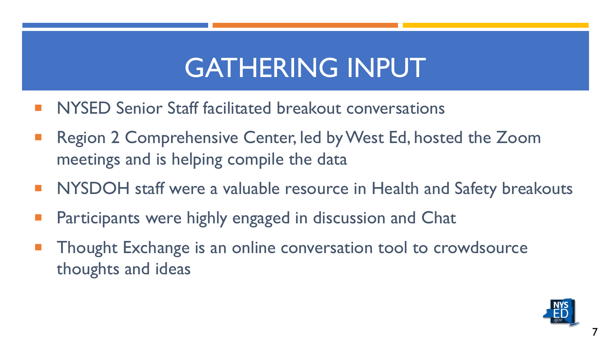## GATHERING INPUT

- NYSED Senior Staff facilitated breakout conversations
- **Region 2 Comprehensive Center, led by West Ed, hosted the Zoom** meetings and is helping compile the data
- **NYSDOH** staff were a valuable resource in Health and Safety breakouts
- **Participants were highly engaged in discussion and Chat**
- Thought Exchange is an online conversation tool to crowdsource thoughts and ideas

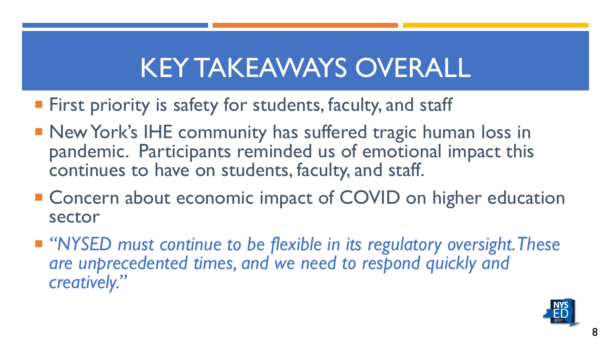## KEY TAKEAWAYS OVERALL

- **First priority is safety for students, faculty, and staff**
- New York's IHE community has suffered tragic human loss in pandemic. Participants reminded us of emotional impact this continues to have on students, faculty, and staff.
- **EX Concern about economic impact of COVID on higher education** sector
- "NYSED must continue to be flexible in its regulatory oversight. These *are unprecedented times, and we need to respond quickly and creatively."*

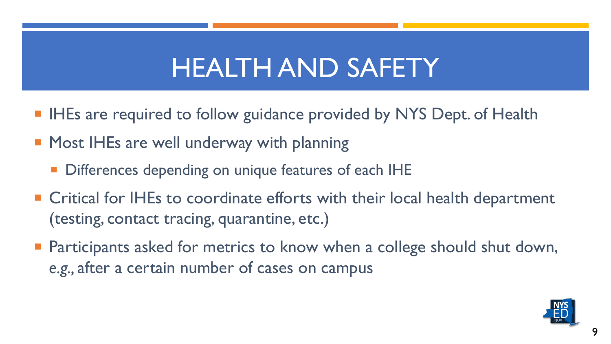### HEALTH AND SAFETY

- IHEs are required to follow guidance provided by NYS Dept. of Health
- **Most IHEs are well underway with planning** 
	- **Differences depending on unique features of each IHE**
- Critical for IHEs to coordinate efforts with their local health department (testing, contact tracing, quarantine, etc.)
- **Participants asked for metrics to know when a college should shut down,** *e.g.,* after a certain number of cases on campus

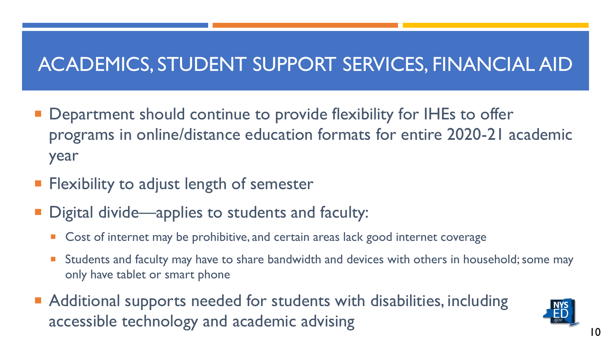#### ACADEMICS, STUDENT SUPPORT SERVICES, FINANCIAL AID

- Department should continue to provide flexibility for IHEs to offer programs in online/distance education formats for entire 2020-21 academic year
- **Flexibility to adjust length of semester**
- Digital divide—applies to students and faculty:
	- Cost of internet may be prohibitive, and certain areas lack good internet coverage
	- Students and faculty may have to share bandwidth and devices with others in household; some may only have tablet or smart phone
- Additional supports needed for students with disabilities, including accessible technology and academic advising

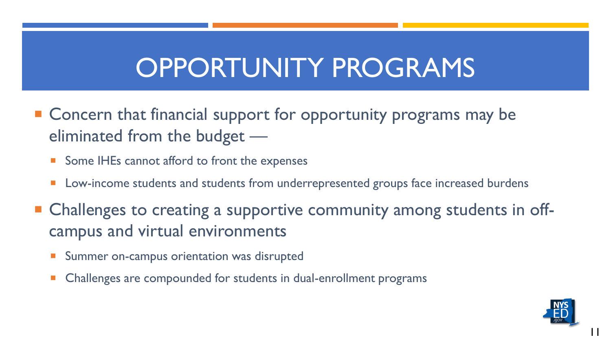## OPPORTUNITY PROGRAMS

- Concern that financial support for opportunity programs may be eliminated from the budget —
	- Some IHEs cannot afford to front the expenses
	- **Low-income students and students from underrepresented groups face increased burdens**
- **EXTE Challenges to creating a supportive community among students in off**campus and virtual environments
	- Summer on-campus orientation was disrupted
	- Challenges are compounded for students in dual-enrollment programs

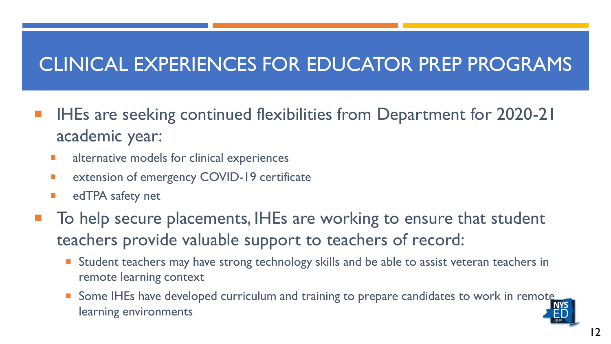#### CLINICAL EXPERIENCES FOR EDUCATOR PREP PROGRAMS

- **IFCE** IHEs are seeking continued flexibilities from Department for 2020-21 academic year:
	- **E** alternative models for clinical experiences
	- **E** extension of emergency COVID-19 certificate
	- **E** edTPA safety net
- To help secure placements, IHEs are working to ensure that student teachers provide valuable support to teachers of record:
	- Student teachers may have strong technology skills and be able to assist veteran teachers in remote learning context
	- Some IHEs have developed curriculum and training to prepare candidates to work in remote learning environments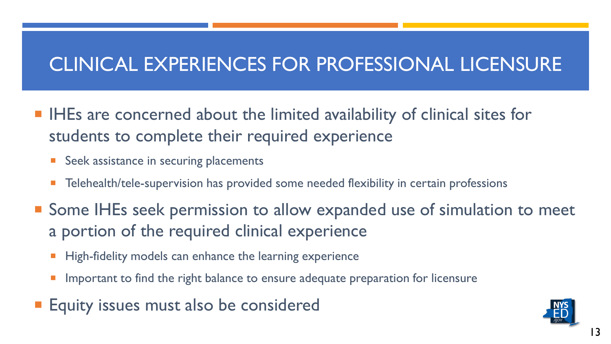#### CLINICAL EXPERIENCES FOR PROFESSIONAL LICENSURE

- IHEs are concerned about the limited availability of clinical sites for students to complete their required experience
	- Seek assistance in securing placements
	- Telehealth/tele-supervision has provided some needed flexibility in certain professions
- Some IHEs seek permission to allow expanded use of simulation to meet a portion of the required clinical experience
	- High-fidelity models can enhance the learning experience
	- Important to find the right balance to ensure adequate preparation for licensure
- **Equity issues must also be considered**

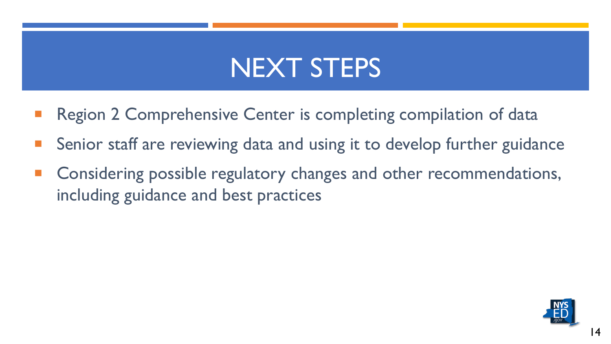## NEXT STEPS

- **Region 2 Comprehensive Center is completing compilation of data**
- Senior staff are reviewing data and using it to develop further guidance
- Considering possible regulatory changes and other recommendations, including guidance and best practices